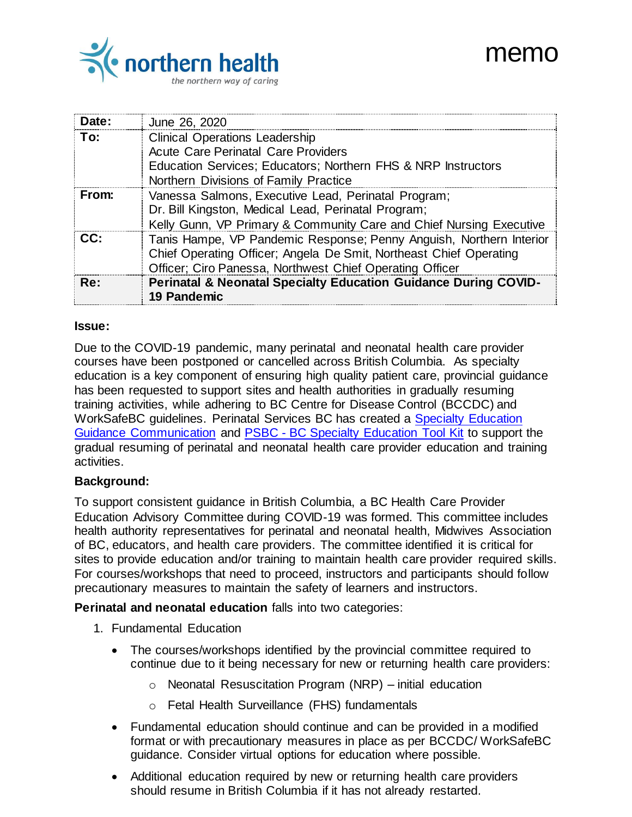# memo



| Date: | June 26, 2020                                                       |
|-------|---------------------------------------------------------------------|
| To:   | <b>Clinical Operations Leadership</b>                               |
|       | <b>Acute Care Perinatal Care Providers</b>                          |
|       | Education Services; Educators; Northern FHS & NRP Instructors       |
|       | Northern Divisions of Family Practice                               |
| From: | Vanessa Salmons, Executive Lead, Perinatal Program;                 |
|       | Dr. Bill Kingston, Medical Lead, Perinatal Program;                 |
|       | Kelly Gunn, VP Primary & Community Care and Chief Nursing Executive |
| CC:   | Tanis Hampe, VP Pandemic Response; Penny Anguish, Northern Interior |
|       | Chief Operating Officer; Angela De Smit, Northeast Chief Operating  |
|       | Officer; Ciro Panessa, Northwest Chief Operating Officer            |
| Re:   | Perinatal & Neonatal Specialty Education Guidance During COVID-     |
|       | <b>19 Pandemic</b>                                                  |

### **Issue:**

Due to the COVID-19 pandemic, many perinatal and neonatal health care provider courses have been postponed or cancelled across British Columbia. As specialty education is a key component of ensuring high quality patient care, provincial guidance has been requested to support sites and health authorities in gradually resuming training activities, while adhering to BC Centre for Disease Control (BCCDC) and WorkSafeBC guidelines. Perinatal Services BC has created a [Specialty Education](http://www.perinatalservicesbc.ca/Documents/Resources/Alerts/Covid19-provincial-education-guidance-tool-kit-communication.pdf)  [Guidance Communication](http://www.perinatalservicesbc.ca/Documents/Resources/Alerts/Covid19-provincial-education-guidance-tool-kit-communication.pdf) and PSBC - [BC Specialty Education Tool Kit](http://www.perinatalservicesbc.ca/Documents/Resources/Alerts/Covid19-provincial-education-guidance-tool-kit.pdf) to support the gradual resuming of perinatal and neonatal health care provider education and training activities.

# **Background:**

To support consistent guidance in British Columbia, a BC Health Care Provider Education Advisory Committee during COVID-19 was formed. This committee includes health authority representatives for perinatal and neonatal health, Midwives Association of BC, educators, and health care providers. The committee identified it is critical for sites to provide education and/or training to maintain health care provider required skills. For courses/workshops that need to proceed, instructors and participants should follow precautionary measures to maintain the safety of learners and instructors.

**Perinatal and neonatal education** falls into two categories:

- 1. Fundamental Education
	- The courses/workshops identified by the provincial committee required to continue due to it being necessary for new or returning health care providers:
		- $\circ$  Neonatal Resuscitation Program (NRP) initial education
		- o Fetal Health Surveillance (FHS) fundamentals
	- Fundamental education should continue and can be provided in a modified format or with precautionary measures in place as per BCCDC/ WorkSafeBC guidance. Consider virtual options for education where possible.
	- Additional education required by new or returning health care providers should resume in British Columbia if it has not already restarted.